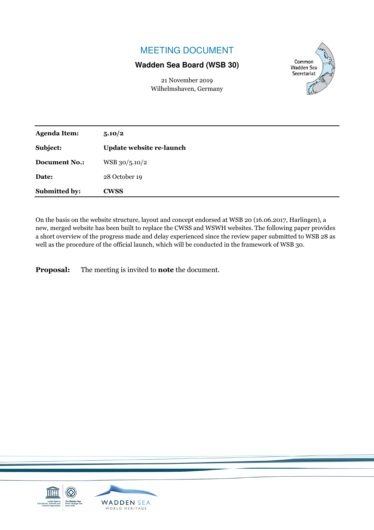# MEETING DOCUMENT

## **Wadden Sea Board (WSB 30)**

21 November 2019 Wilhelmshaven, Germany



| <b>Agenda Item:</b>  | 5.10/2                   |
|----------------------|--------------------------|
| Subject:             | Update website re-launch |
| <b>Document No.:</b> | WSB 30/5.10/2            |
| Date:                | 28 October 19            |
| Submitted by:        | <b>CWSS</b>              |

On the basis on the website structure, layout and concept endorsed at WSB 20 (16.06.2017, Harlingen), a new, merged website has been built to replace the CWSS and WSWH websites. The following paper provides a short overview of the progress made and delay experienced since the review paper submitted to WSB 28 as well as the procedure of the official launch, which will be conducted in the framework of WSB 30.

**Proposal:** The meeting is invited to **note** the document.

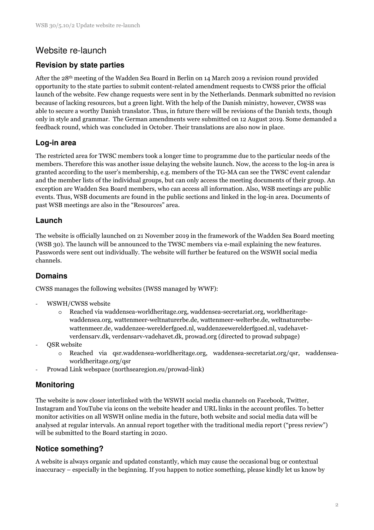## Website re-launch

### **Revision by state parties**

After the 28th meeting of the Wadden Sea Board in Berlin on 14 March 2019 a revision round provided opportunity to the state parties to submit content-related amendment requests to CWSS prior the official launch of the website. Few change requests were sent in by the Netherlands. Denmark submitted no revision because of lacking resources, but a green light. With the help of the Danish ministry, however, CWSS was able to secure a worthy Danish translator. Thus, in future there will be revisions of the Danish texts, though only in style and grammar. The German amendments were submitted on 12 August 2019. Some demanded a feedback round, which was concluded in October. Their translations are also now in place.

### **Log-in area**

The restricted area for TWSC members took a longer time to programme due to the particular needs of the members. Therefore this was another issue delaying the website launch. Now, the access to the log-in area is granted according to the user's membership, e.g. members of the TG-MA can see the TWSC event calendar and the member lists of the individual groups, but can only access the meeting documents of their group. An exception are Wadden Sea Board members, who can access all information. Also, WSB meetings are public events. Thus, WSB documents are found in the public sections and linked in the log-in area. Documents of past WSB meetings are also in the "Resources" area.

#### **Launch**

The website is officially launched on 21 November 2019 in the framework of the Wadden Sea Board meeting (WSB 30). The launch will be announced to the TWSC members via e-mail explaining the new features. Passwords were sent out individually. The website will further be featured on the WSWH social media channels.

### **Domains**

CWSS manages the following websites (IWSS managed by WWF):

- WSWH/CWSS website
	- o Reached via waddensea-worldheritage.org, waddensea-secretariat.org, worldheritagewaddensea.org, wattenmeer-weltnaturerbe.de, wattenmeer-welterbe.de, weltnaturerbewattenmeer.de, waddenzee-werelderfgoed.nl, waddenzeewerelderfgoed.nl, vadehavetverdensarv.dk, verdensarv-vadehavet.dk, prowad.org (directed to prowad subpage)
- QSR website
	- o Reached via qsr.waddensea-worldheritage.org, waddensea-secretariat.org/qsr, waddenseaworldheritage.org/qsr
- Prowad Link webspace (northsearegion.eu/prowad-link)

### **Monitoring**

The website is now closer interlinked with the WSWH social media channels on Facebook, Twitter, Instagram and YouTube via icons on the website header and URL links in the account profiles. To better monitor activities on all WSWH online media in the future, both website and social media data will be analysed at regular intervals. An annual report together with the traditional media report ("press review") will be submitted to the Board starting in 2020.

### **Notice something?**

A website is always organic and updated constantly, which may cause the occasional bug or contextual inaccuracy – especially in the beginning. If you happen to notice something, please kindly let us know by